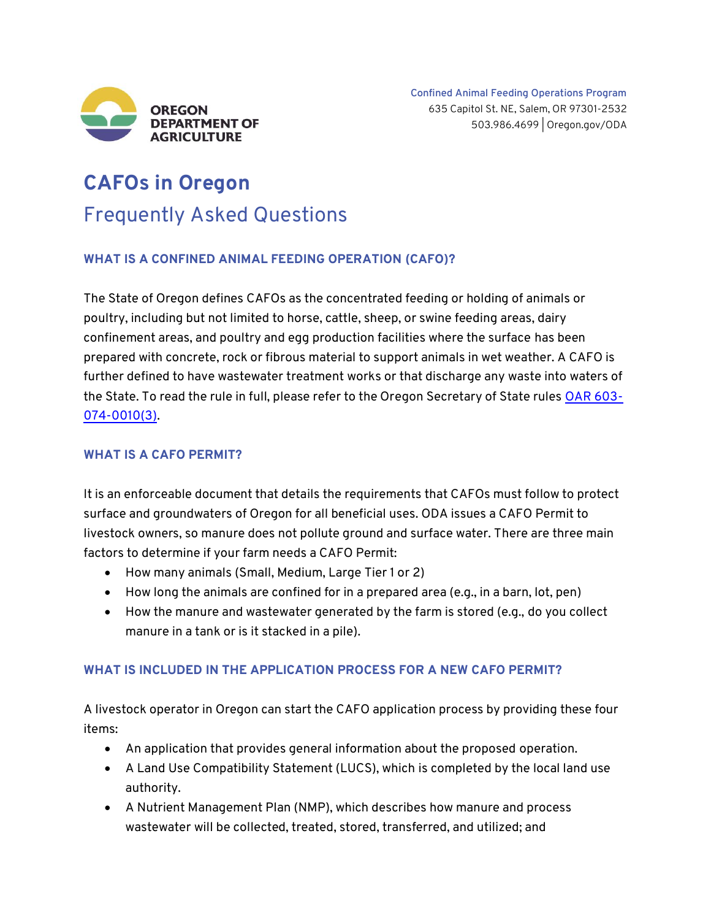

# **CAFOs in Oregon** Frequently Asked Questions

## **WHAT IS A CONFINED ANIMAL FEEDING OPERATION (CAFO)?**

The State of Oregon defines CAFOs as the concentrated feeding or holding of animals or poultry, including but not limited to horse, cattle, sheep, or swine feeding areas, dairy confinement areas, and poultry and egg production facilities where the surface has been prepared with concrete, rock or fibrous material to support animals in wet weather. A CAFO is further defined to have wastewater treatment works or that discharge any waste into waters of the State. To read the rule in full, please refer to the Oregon Secretary of State rules [OAR 603-](https://secure.sos.state.or.us/oard/viewSingleRule.action%3bJSESSIONID_OARD=DA6p7YIKvdlNMPLf7h4e53E_X8bpqSIp8VieXIZosoweNDPPtbU-%21601336136?ruleVrsnRsn=266288) [074-0010\(3\).](https://secure.sos.state.or.us/oard/viewSingleRule.action%3bJSESSIONID_OARD=DA6p7YIKvdlNMPLf7h4e53E_X8bpqSIp8VieXIZosoweNDPPtbU-%21601336136?ruleVrsnRsn=266288)

#### **WHAT IS A CAFO PERMIT?**

It is an enforceable document that details the requirements that CAFOs must follow to protect surface and groundwaters of Oregon for all beneficial uses. ODA issues a CAFO Permit to livestock owners, so manure does not pollute ground and surface water. There are three main factors to determine if your farm needs a CAFO Permit:

- How many animals (Small, Medium, Large Tier 1 or 2)
- How long the animals are confined for in a prepared area (e.g., in a barn, lot, pen)
- How the manure and wastewater generated by the farm is stored (e.g., do you collect manure in a tank or is it stacked in a pile).

## **WHAT IS INCLUDED IN THE APPLICATION PROCESS FOR A NEW CAFO PERMIT?**

A livestock operator in Oregon can start the CAFO application process by providing these four items:

- An application that provides general information about the proposed operation.
- A Land Use Compatibility Statement (LUCS), which is completed by the local land use authority.
- A Nutrient Management Plan (NMP), which describes how manure and process wastewater will be collected, treated, stored, transferred, and utilized; and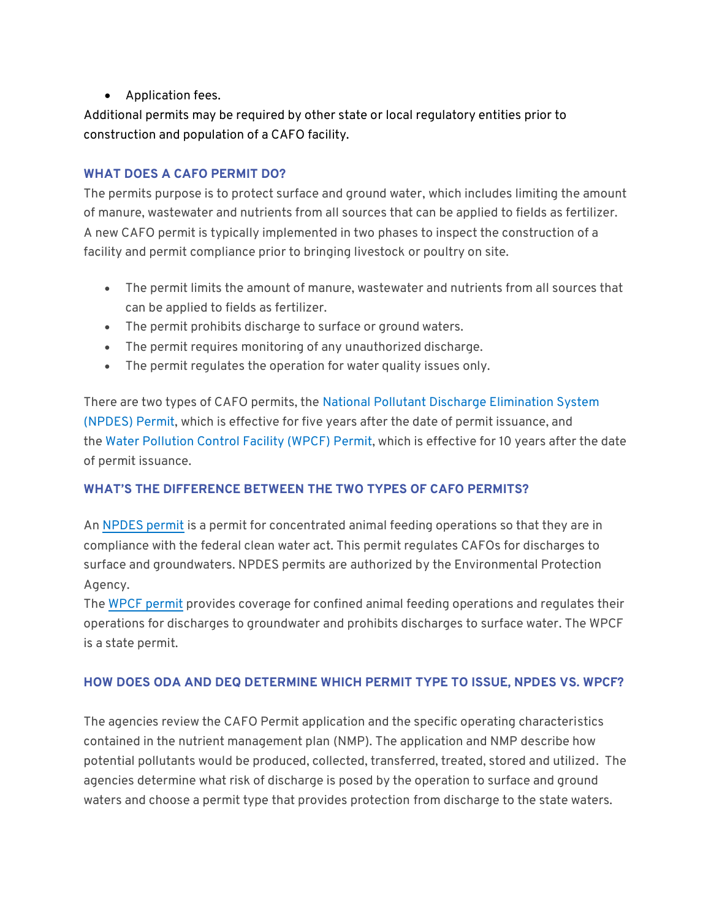• Application fees.

Additional permits may be required by other state or local regulatory entities prior to construction and population of a CAFO facility.

## **WHAT DOES A CAFO PERMIT DO?**

The permits purpose is to protect surface and ground water, which includes limiting the amount of manure, wastewater and nutrients from all sources that can be applied to fields as fertilizer. A new CAFO permit is typically implemented in two phases to inspect the construction of a facility and permit compliance prior to bringing livestock or poultry on site.

- The permit limits the amount of manure, wastewater and nutrients from all sources that can be applied to fields as fertilizer.
- The permit prohibits discharge to surface or ground waters.
- The permit requires monitoring of any unauthorized discharge.
- The permit regulates the operation for water quality issues only.

There are two types of CAFO permits, the [National Pollutant Discharge Elimination System](https://www.oregon.gov/oda/shared/Documents/Publications/NaturalResources/NPDESGeneralPermit.pdf)  [\(NPDES\)](https://www.oregon.gov/oda/shared/Documents/Publications/NaturalResources/NPDESGeneralPermit.pdf) Permit, which is effective for five years after the date of permit issuance, and the [Water Pollution Control Facility \(WPCF\) Permit,](https://www.oregon.gov/oda/shared/Documents/Publications/NaturalResources/WPCFPermit.pdf) which is effective for 10 years after the date of permit issuance.

## **WHAT'S THE DIFFERENCE BETWEEN THE TWO TYPES OF CAFO PERMITS?**

An [NPDES permit](https://www.oregon.gov/oda/shared/Documents/Publications/NaturalResources/NPDESGeneralPermit.pdf) is a permit for concentrated animal feeding operations so that they are in compliance with the federal clean water act. This permit regulates CAFOs for discharges to surface and groundwaters. NPDES permits are authorized by the Environmental Protection Agency.

The [WPCF permit](https://www.oregon.gov/oda/shared/Documents/Publications/NaturalResources/WPCFPermit.pdf) provides coverage for confined animal feeding operations and regulates their operations for discharges to groundwater and prohibits discharges to surface water. The WPCF is a state permit.

## **HOW DOES ODA AND DEQ DETERMINE WHICH PERMIT TYPE TO ISSUE, NPDES VS. WPCF?**

The agencies review the CAFO Permit application and the specific operating characteristics contained in the nutrient management plan (NMP). The application and NMP describe how potential pollutants would be produced, collected, transferred, treated, stored and utilized. The agencies determine what risk of discharge is posed by the operation to surface and ground waters and choose a permit type that provides protection from discharge to the state waters.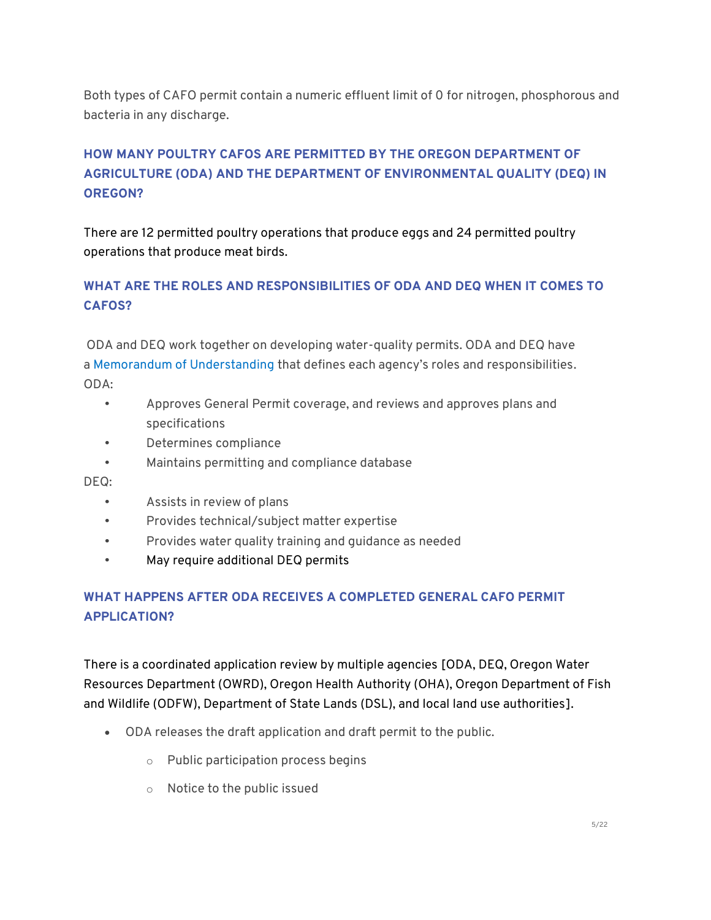Both types of CAFO permit contain a numeric effluent limit of 0 for nitrogen, phosphorous and bacteria in any discharge.

# **HOW MANY POULTRY CAFOS ARE PERMITTED BY THE OREGON DEPARTMENT OF AGRICULTURE (ODA) AND THE DEPARTMENT OF ENVIRONMENTAL QUALITY (DEQ) IN OREGON?**

There are 12 permitted poultry operations that produce eggs and 24 permitted poultry operations that produce meat birds.

# **WHAT ARE THE ROLES AND RESPONSIBILITIES OF ODA AND DEQ WHEN IT COMES TO CAFOS?**

ODA and DEQ work together on developing water-quality permits. ODA and DEQ have a [Memorandum of Understanding](https://www.oregon.gov/oda/shared/Documents/Publications/NaturalResources/CAFOMOU.pdf) that defines each agency's roles and responsibilities. ODA:

- Approves General Permit coverage, and reviews and approves plans and specifications
- Determines compliance
- Maintains permitting and compliance database

DEQ:

- Assists in review of plans
- Provides technical/subject matter expertise
- Provides water quality training and guidance as needed
- May require additional DEQ permits

# **WHAT HAPPENS AFTER ODA RECEIVES A COMPLETED GENERAL CAFO PERMIT APPLICATION?**

There is a coordinated application review by multiple agencies [ODA, DEQ, Oregon Water Resources Department (OWRD), Oregon Health Authority (OHA), Oregon Department of Fish and Wildlife (ODFW), Department of State Lands (DSL), and local land use authorities].

- ODA releases the draft application and draft permit to the public.
	- o Public participation process begins
	- o Notice to the public issued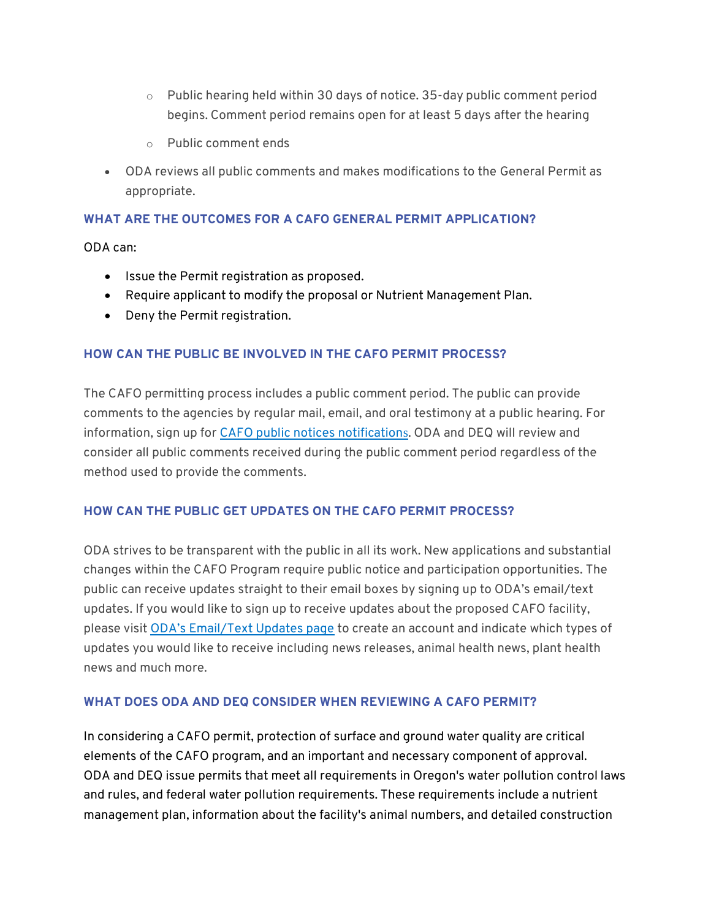- o Public hearing held within 30 days of notice. 35-day public comment period begins. Comment period remains open for at least 5 days after the hearing
- o Public comment ends
- ODA reviews all public comments and makes modifications to the General Permit as appropriate.

#### **WHAT ARE THE OUTCOMES FOR A CAFO GENERAL PERMIT APPLICATION?**

ODA can:

- Issue the Permit registration as proposed.
- Require applicant to modify the proposal or Nutrient Management Plan.
- Deny the Permit registration.

#### **HOW CAN THE PUBLIC BE INVOLVED IN THE CAFO PERMIT PROCESS?**

The CAFO permitting process includes a public comment period. The public can provide comments to the agencies by regular mail, email, and oral testimony at a public hearing. For information, sign up for [CAFO public notices notification](https://public.govdelivery.com/accounts/ORODA/subscriber/new?topic_id=ORODA_4)s. ODA and DEQ will review and consider all public comments received during the public comment period regardless of the method used to provide the comments.

## **HOW CAN THE PUBLIC GET UPDATES ON THE CAFO PERMIT PROCESS?**

ODA strives to be transparent with the public in all its work. New applications and substantial changes within the CAFO Program require public notice and participation opportunities. The public can receive updates straight to their email boxes by signing up to ODA's email/text updates. If you would like to sign up to receive updates about the proposed CAFO facility, please visit [ODA's Email/Text Updates page](https://oda.fyi/subscribe) to create an account and indicate which types of updates you would like to receive including news releases, animal health news, plant health news and much more.

## **WHAT DOES ODA AND DEQ CONSIDER WHEN REVIEWING A CAFO PERMIT?**

In considering a CAFO permit, protection of surface and ground water quality are critical elements of the CAFO program, and an important and necessary component of approval. ODA and DEQ issue permits that meet all requirements in Oregon's water pollution control laws and rules, and federal water pollution requirements. These requirements include a nutrient management plan, information about the facility's animal numbers, and detailed construction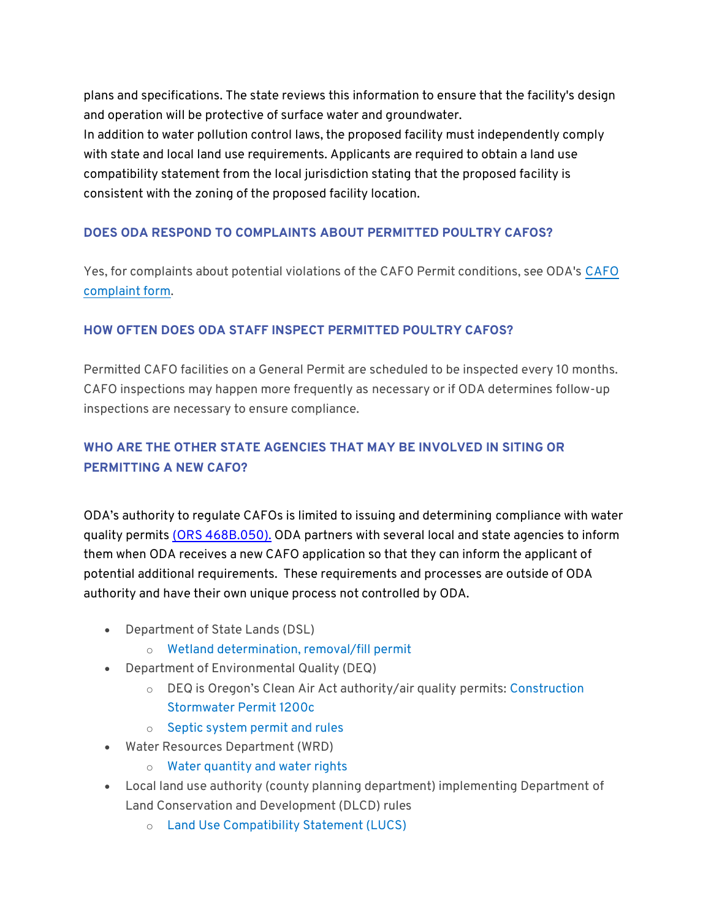plans and specifications. The state reviews this information to ensure that the facility's design and operation will be protective of surface water and groundwater. In addition to water pollution control laws, the proposed facility must independently comply with state and local land use requirements. Applicants are required to obtain a land use compatibility statement from the local jurisdiction stating that the proposed facility is consistent with the zoning of the proposed facility location.

## **DOES ODA RESPOND TO COMPLAINTS ABOUT PERMITTED POULTRY CAFOS?**

Yes, for complaints about potential violations of the CAFO Permit conditions, see ODA's [CAFO](https://www.oregon.gov/oda/shared/Documents/Publications/NaturalResources/CAFOComplaintForm.pdf)  [complaint form.](https://www.oregon.gov/oda/shared/Documents/Publications/NaturalResources/CAFOComplaintForm.pdf)

## **HOW OFTEN DOES ODA STAFF INSPECT PERMITTED POULTRY CAFOS?**

Permitted CAFO facilities on a General Permit are scheduled to be inspected every 10 months. CAFO inspections may happen more frequently as necessary or if ODA determines follow-up inspections are necessary to ensure compliance.

# **WHO ARE THE OTHER STATE AGENCIES THAT MAY BE INVOLVED IN SITING OR PERMITTING A NEW CAFO?**

ODA's authority to regulate CAFOs is limited to issuing and determining compliance with water quality permits [\(ORS 468B.050\).](https://www.oregonlegislature.gov/bills_laws/ors/ors468b.html) ODA partners with several local and state agencies to inform them when ODA receives a new CAFO application so that they can inform the applicant of potential additional requirements. These requirements and processes are outside of ODA authority and have their own unique process not controlled by ODA.

- Department of State Lands (DSL)
	- o [Wetland determination, removal/fill permit](https://www.oregon.gov/dsl/WW/Pages/Permits.aspx)
- Department of Environmental Quality (DEQ)
	- o DEQ is Oregon's Clean Air Act authority/air quality permits: [Construction](https://www.oregon.gov/deq/wq/wqpermits/Pages/Stormwater-Construction.aspx)  [Stormwater Permit 1200c](https://www.oregon.gov/deq/wq/wqpermits/Pages/Stormwater-Construction.aspx)
	- o [Septic system permit and rules](https://www.oregon.gov/deq/Residential/Pages/Onsite-rules.aspx)
- Water Resources Department (WRD)
	- o [Water quantity and water rights](https://www.oregon.gov/owrd/pages/index.aspx)
- Local land use authority (county planning department) implementing Department of Land Conservation and Development (DLCD) rules
	- o [Land Use Compatibility Statement \(LUCS\)](https://www.oregon.gov/oda/shared/Documents/Publications/NaturalResources/LandUseCompatibilityStatement.pdf)